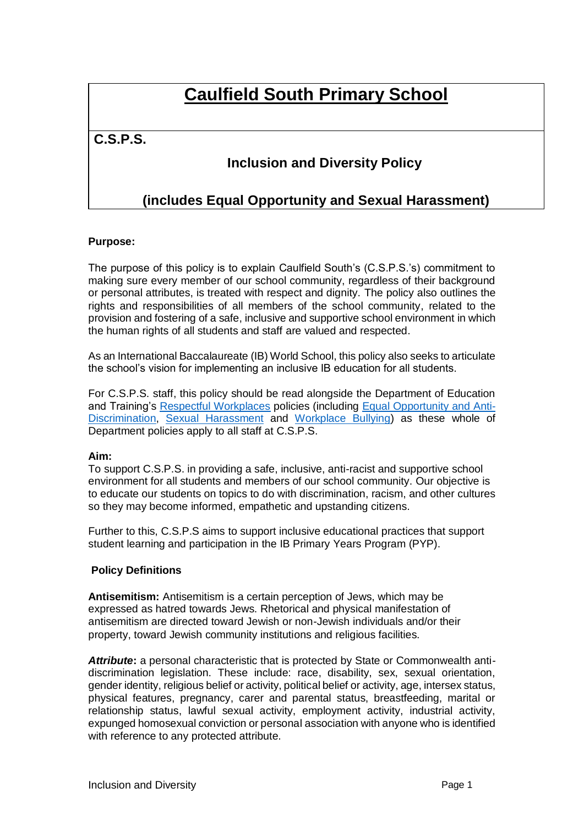# **Caulfield South Primary School**

## **C.S.P.S.**

# **Inclusion and Diversity Policy**

# **(includes Equal Opportunity and Sexual Harassment)**

#### **Purpose:**

The purpose of this policy is to explain Caulfield South's (C.S.P.S.'s) commitment to making sure every member of our school community, regardless of their background or personal attributes, is treated with respect and dignity. The policy also outlines the rights and responsibilities of all members of the school community, related to the provision and fostering of a safe, inclusive and supportive school environment in which the human rights of all students and staff are valued and respected.

As an International Baccalaureate (IB) World School, this policy also seeks to articulate the school's vision for implementing an inclusive IB education for all students.

For C.S.P.S. staff, this policy should be read alongside the Department of Education and Training's [Respectful Workplaces](https://www2.education.vic.gov.au/pal/respectful-workplaces/overview) policies (including [Equal Opportunity and Anti-](https://www2.education.vic.gov.au/pal/equal-opportunity/overview)[Discrimination,](https://www2.education.vic.gov.au/pal/equal-opportunity/overview) [Sexual Harassment](https://www2.education.vic.gov.au/pal/sexual-harassment/overview) and [Workplace Bullying\)](https://www2.education.vic.gov.au/pal/workplace-bullying/policy) as these whole of Department policies apply to all staff at C.S.P.S.

#### **Aim:**

To support C.S.P.S. in providing a safe, inclusive, anti-racist and supportive school environment for all students and members of our school community. Our objective is to educate our students on topics to do with discrimination, racism, and other cultures so they may become informed, empathetic and upstanding citizens.

Further to this, C.S.P.S aims to support inclusive educational practices that support student learning and participation in the IB Primary Years Program (PYP).

#### **Policy Definitions**

**Antisemitism:** Antisemitism is a certain perception of Jews, which may be expressed as hatred towards Jews. Rhetorical and physical manifestation of antisemitism are directed toward Jewish or non-Jewish individuals and/or their property, toward Jewish community institutions and religious facilities.

*Attribute***:** a personal characteristic that is protected by State or Commonwealth antidiscrimination legislation. These include: race, disability, sex, sexual orientation, gender identity, religious belief or activity, political belief or activity, age, intersex status, physical features, pregnancy, carer and parental status, breastfeeding, marital or relationship status, lawful sexual activity, employment activity, industrial activity, expunged homosexual conviction or personal association with anyone who is identified with reference to any protected attribute.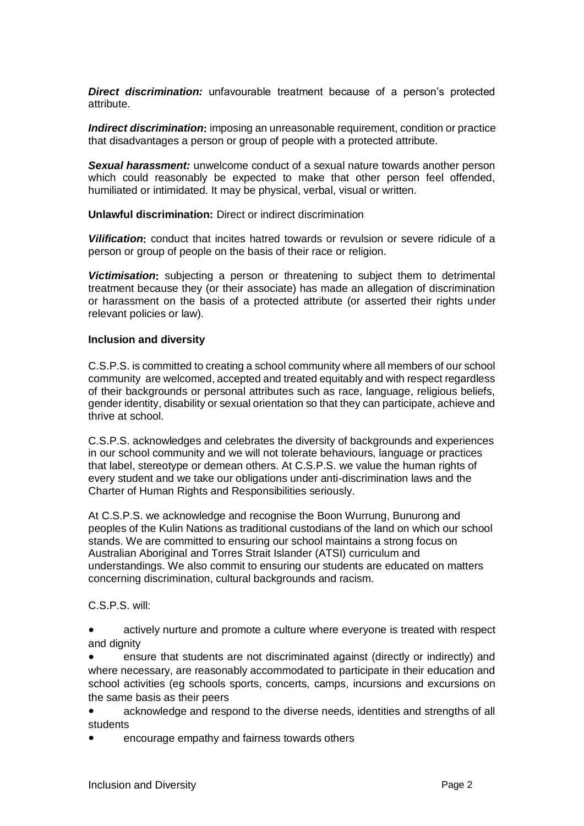*Direct discrimination:* unfavourable treatment because of a person's protected attribute.

*Indirect discrimination*: imposing an unreasonable requirement, condition or practice that disadvantages a person or group of people with a protected attribute.

*Sexual harassment:* unwelcome conduct of a sexual nature towards another person which could reasonably be expected to make that other person feel offended, humiliated or intimidated. It may be physical, verbal, visual or written.

**Unlawful discrimination:** Direct or indirect discrimination

*Vilification***:** conduct that incites hatred towards or revulsion or severe ridicule of a person or group of people on the basis of their race or religion.

*Victimisation***:** subjecting a person or threatening to subject them to detrimental treatment because they (or their associate) has made an allegation of discrimination or harassment on the basis of a protected attribute (or asserted their rights under relevant policies or law).

#### **Inclusion and diversity**

C.S.P.S. is committed to creating a school community where all members of our school community are welcomed, accepted and treated equitably and with respect regardless of their backgrounds or personal attributes such as race, language, religious beliefs, gender identity, disability or sexual orientation so that they can participate, achieve and thrive at school.

C.S.P.S. acknowledges and celebrates the diversity of backgrounds and experiences in our school community and we will not tolerate behaviours, language or practices that label, stereotype or demean others. At C.S.P.S. we value the human rights of every student and we take our obligations under anti-discrimination laws and the Charter of Human Rights and Responsibilities seriously.

At C.S.P.S. we acknowledge and recognise the Boon Wurrung, Bunurong and peoples of the Kulin Nations as traditional custodians of the land on which our school stands. We are committed to ensuring our school maintains a strong focus on Australian Aboriginal and Torres Strait Islander (ATSI) curriculum and understandings. We also commit to ensuring our students are educated on matters concerning discrimination, cultural backgrounds and racism.

C.S.P.S. will:

actively nurture and promote a culture where everyone is treated with respect and dignity

ensure that students are not discriminated against (directly or indirectly) and where necessary, are reasonably accommodated to participate in their education and school activities (eg schools sports, concerts, camps, incursions and excursions on the same basis as their peers

● acknowledge and respond to the diverse needs, identities and strengths of all students

encourage empathy and fairness towards others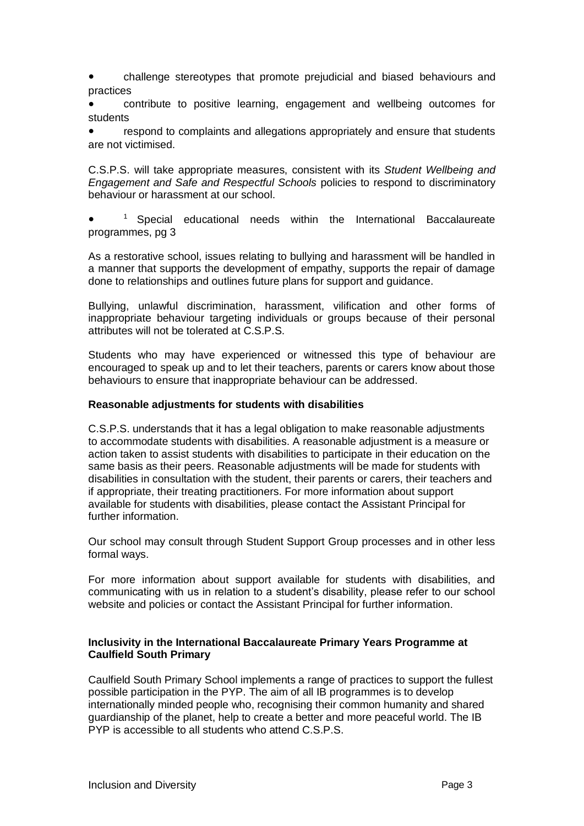challenge stereotypes that promote prejudicial and biased behaviours and practices

● contribute to positive learning, engagement and wellbeing outcomes for students

respond to complaints and allegations appropriately and ensure that students are not victimised.

C.S.P.S. will take appropriate measures, consistent with its *Student Wellbeing and Engagement and Safe and Respectful Schools* policies to respond to discriminatory behaviour or harassment at our school.

● <sup>1</sup> Special educational needs within the International Baccalaureate programmes, pg 3

As a restorative school, issues relating to bullying and harassment will be handled in a manner that supports the development of empathy, supports the repair of damage done to relationships and outlines future plans for support and guidance.

Bullying, unlawful discrimination, harassment, vilification and other forms of inappropriate behaviour targeting individuals or groups because of their personal attributes will not be tolerated at C.S.P.S.

Students who may have experienced or witnessed this type of behaviour are encouraged to speak up and to let their teachers, parents or carers know about those behaviours to ensure that inappropriate behaviour can be addressed.

#### **Reasonable adjustments for students with disabilities**

C.S.P.S. understands that it has a legal obligation to make reasonable adjustments to accommodate students with disabilities. A reasonable adjustment is a measure or action taken to assist students with disabilities to participate in their education on the same basis as their peers. Reasonable adjustments will be made for students with disabilities in consultation with the student, their parents or carers, their teachers and if appropriate, their treating practitioners. For more information about support available for students with disabilities, please contact the Assistant Principal for further information.

Our school may consult through Student Support Group processes and in other less formal ways.

For more information about support available for students with disabilities, and communicating with us in relation to a student's disability, please refer to our school website and policies or contact the Assistant Principal for further information.

#### **Inclusivity in the International Baccalaureate Primary Years Programme at Caulfield South Primary**

Caulfield South Primary School implements a range of practices to support the fullest possible participation in the PYP. The aim of all IB programmes is to develop internationally minded people who, recognising their common humanity and shared guardianship of the planet, help to create a better and more peaceful world. The IB PYP is accessible to all students who attend C.S.P.S.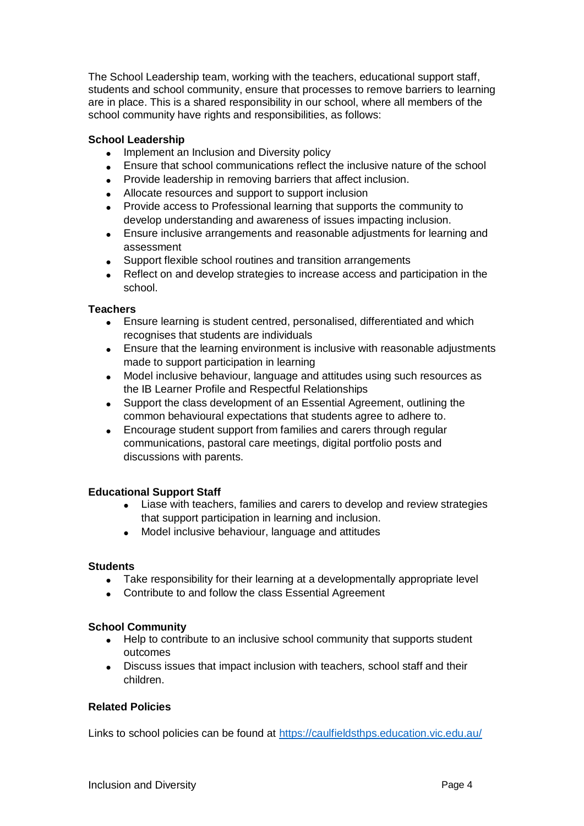The School Leadership team, working with the teachers, educational support staff, students and school community, ensure that processes to remove barriers to learning are in place. This is a shared responsibility in our school, where all members of the school community have rights and responsibilities, as follows:

#### **School Leadership**

- Implement an Inclusion and Diversity policy
- Ensure that school communications reflect the inclusive nature of the school
- Provide leadership in removing barriers that affect inclusion.
- Allocate resources and support to support inclusion
- Provide access to Professional learning that supports the community to develop understanding and awareness of issues impacting inclusion.
- Ensure inclusive arrangements and reasonable adjustments for learning and assessment
- Support flexible school routines and transition arrangements
- Reflect on and develop strategies to increase access and participation in the school.

#### **Teachers**

- Ensure learning is student centred, personalised, differentiated and which recognises that students are individuals
- Ensure that the learning environment is inclusive with reasonable adjustments made to support participation in learning
- Model inclusive behaviour, language and attitudes using such resources as the IB Learner Profile and Respectful Relationships
- Support the class development of an Essential Agreement, outlining the common behavioural expectations that students agree to adhere to.
- Encourage student support from families and carers through regular communications, pastoral care meetings, digital portfolio posts and discussions with parents.

#### **Educational Support Staff**

- Liase with teachers, families and carers to develop and review strategies that support participation in learning and inclusion.
- Model inclusive behaviour, language and attitudes

#### **Students**

- Take responsibility for their learning at a developmentally appropriate level
- Contribute to and follow the class Essential Agreement

#### **School Community**

- Help to contribute to an inclusive school community that supports student outcomes
- Discuss issues that impact inclusion with teachers, school staff and their children.

#### **Related Policies**

Links to school policies can be found at<https://caulfieldsthps.education.vic.edu.au/>